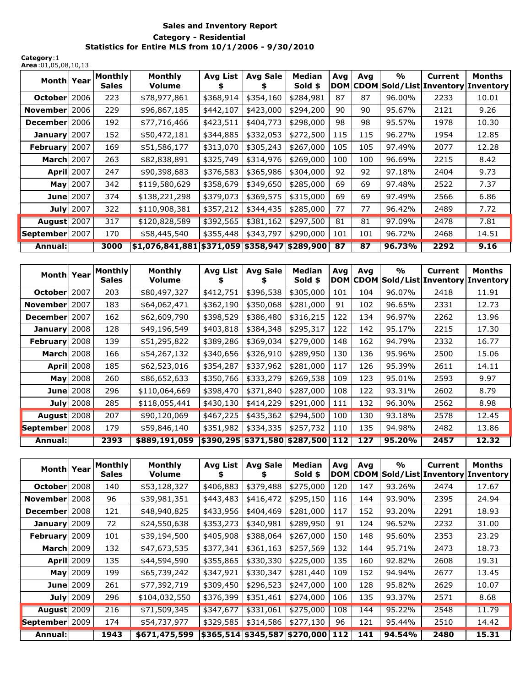## **Sales and Inventory Report Category - Residential Statistics for Entire MLS from 10/1/2006 - 9/30/2010**

**Category**:1 **Area**:01,05,08,10,13

| Month Year         |                  | Monthly<br><b>Sales</b> | Monthly<br>Volume                             | <b>Avg List</b> | Avg Sale  | <b>Median</b><br>Sold \$ | Avq | Avg | %      | <b>Current</b><br> DOM CDOM Sold/List Inventory Inventory | Months |
|--------------------|------------------|-------------------------|-----------------------------------------------|-----------------|-----------|--------------------------|-----|-----|--------|-----------------------------------------------------------|--------|
| October   2006     |                  | 223                     | \$78,977,861                                  | \$368,914       | \$354,160 | \$284,981                | 87  | 87  | 96.00% | 2233                                                      | 10.01  |
| November 2006      |                  | 229                     | \$96,867,185                                  | \$442,107       | \$423,000 | \$294,200                | 90  | 90  | 95.67% | 2121                                                      | 9.26   |
| December 2006      |                  | 192                     | \$77,716,466                                  | \$423,511       | \$404,773 | \$298,000                | 98  | 98  | 95.57% | 1978                                                      | 10.30  |
| January 2007       |                  | 152                     | \$50,472,181                                  | \$344,885       | \$332,053 | \$272,500                | 115 | 115 | 96.27% | 1954                                                      | 12.85  |
| February 2007      |                  | 169                     | \$51,586,177                                  | \$313,070       | \$305,243 | \$267,000                | 105 | 105 | 97.49% | 2077                                                      | 12.28  |
| <b>March 2007</b>  |                  | 263                     | \$82,838,891                                  | \$325,749       | \$314,976 | \$269,000                | 100 | 100 | 96.69% | 2215                                                      | 8.42   |
| <b>April 2007</b>  |                  | 247                     | \$90,398,683                                  | \$376,583       | \$365,986 | \$304,000                | 92  | 92  | 97.18% | 2404                                                      | 9.73   |
|                    | <b>May</b> 2007  | 342                     | \$119,580,629                                 | \$358,679       | \$349,650 | \$285,000                | 69  | 69  | 97.48% | 2522                                                      | 7.37   |
|                    | <b>June</b> 2007 | 374                     | \$138,221,298                                 | \$379,073       | \$369,575 | \$315,000                | 69  | 69  | 97.49% | 2566                                                      | 6.86   |
|                    | <b>July</b> 2007 | 322                     | \$110,908,381                                 | \$357,212       | \$344,435 | \$285,000                | 77  | 77  | 96.42% | 2489                                                      | 7.72   |
| <b>August</b> 2007 |                  | 317                     | \$120,828,589                                 | \$392,565       | \$381,162 | \$297,500                | 81  | 81  | 97.09% | 2478                                                      | 7.81   |
| September   2007   |                  | 170                     | \$58,445,540                                  | \$355,448       | \$343,797 | \$290,000                | 101 | 101 | 96.72% | 2468                                                      | 14.51  |
| Annual:            |                  | 3000                    | \$1,076,841,881 \$371,059 \$358,947 \$289,900 |                 |           |                          | 87  | 87  | 96.73% | 2292                                                      | 9.16   |

| Month Year         |                   | Monthly<br><b>Sales</b> | Monthly<br>Volume | Avg List                          | Avg Sale  | <b>Median</b><br>Sold \$ | Avq | Avg | $\frac{1}{2}$ | Current | Months<br>DOM CDOM Sold/List Inventory Inventory |
|--------------------|-------------------|-------------------------|-------------------|-----------------------------------|-----------|--------------------------|-----|-----|---------------|---------|--------------------------------------------------|
| <b>October</b>     | 2007              | 203                     | \$80,497,327      | \$412,751                         | \$396,538 | \$305,000                | 101 | 104 | 96.07%        | 2418    | 11.91                                            |
| November           | 2007              | 183                     | \$64,062,471      | \$362,190                         | \$350,068 | \$281,000                | 91  | 102 | 96.65%        | 2331    | 12.73                                            |
| December 2007      |                   | 162                     | \$62,609,790      | \$398,529                         | \$386,480 | \$316,215                | 122 | 134 | 96.97%        | 2262    | 13.96                                            |
| January            | 2008              | 128                     | \$49,196,549      | \$403,818                         | \$384,348 | \$295,317                | 122 | 142 | 95.17%        | 2215    | 17.30                                            |
| <b>February</b>    | 2008              | 139                     | \$51,295,822      | \$389,286                         | \$369,034 | \$279,000                | 148 | 162 | 94.79%        | 2332    | 16.77                                            |
| <b>March</b> 2008  |                   | 166                     | \$54,267,132      | \$340,656                         | \$326,910 | \$289,950                | 130 | 136 | 95.96%        | 2500    | 15.06                                            |
|                    | <b>April</b> 2008 | 185                     | \$62,523,016      | \$354,287                         | \$337,962 | \$281,000                | 117 | 126 | 95.39%        | 2611    | 14.11                                            |
| May                | 2008              | 260                     | \$86,652,633      | \$350,766                         | \$333,279 | \$269,538                | 109 | 123 | 95.01%        | 2593    | 9.97                                             |
|                    | <b>June</b> 2008  | 296                     | \$110,064,669     | \$398,470                         | \$371,840 | \$287,000                | 108 | 122 | 93.31%        | 2602    | 8.79                                             |
|                    | July $2008$       | 285                     | \$118,055,441     | \$430,130                         | \$414,229 | \$291,000                | 111 | 132 | 96.30%        | 2562    | 8.98                                             |
| <b>August</b> 2008 |                   | 207                     | \$90,120,069      | \$467,225                         | \$435,362 | \$294,500                | 100 | 130 | 93.18%        | 2578    | 12.45                                            |
| September 2008     |                   | 179                     | \$59,846,140      | \$351,982                         | \$334,335 | \$257,732                | 110 | 135 | 94.98%        | 2482    | 13.86                                            |
| Annual:            |                   | 2393                    | \$889,191,059     | \$390,295 \$371,580 \$287,500 112 |           |                          |     | 127 | 95.20%        | 2457    | 12.32                                            |

| Month Year         |                  | <b>Monthly</b><br><b>Sales</b> | Monthly<br><b>Volume</b> | Avg List                          | <b>Avg Sale</b> | <b>Median</b><br>Sold \$ | Avq | Ava | $\frac{1}{2}$ | <b>Current</b><br>DOM CDOM Sold/List Inventory | Months<br><b>Inventory</b> |
|--------------------|------------------|--------------------------------|--------------------------|-----------------------------------|-----------------|--------------------------|-----|-----|---------------|------------------------------------------------|----------------------------|
| October 2008       |                  | 140                            | \$53,128,327             | \$406,883                         | \$379,488       | \$275,000                | 120 | 147 | 93.26%        | 2474                                           | 17.67                      |
| November 2008      |                  | 96                             | \$39,981,351             | \$443,483                         | \$416,472       | \$295,150                | 116 | 144 | 93.90%        | 2395                                           | 24.94                      |
| December 2008      |                  | 121                            | \$48,940,825             | \$433,956                         | \$404,469       | \$281,000                | 117 | 152 | 93.20%        | 2291                                           | 18.93                      |
| January 2009       |                  | 72                             | \$24,550,638             | \$353,273                         | \$340,981       | \$289,950                | 91  | 124 | 96.52%        | 2232                                           | 31.00                      |
| February 2009      |                  | 101                            | \$39,194,500             | \$405,908                         | \$388,064       | \$267,000                | 150 | 148 | 95.60%        | 2353                                           | 23.29                      |
| <b>March</b> 2009  |                  | 132                            | \$47,673,535             | \$377,341                         | \$361,163       | \$257,569                | 132 | 144 | 95.71%        | 2473                                           | 18.73                      |
| <b>April 2009</b>  |                  | 135                            | \$44,594,590             | \$355,865                         | \$330,330       | \$225,000                | 135 | 160 | 92.82%        | 2608                                           | 19.31                      |
|                    | <b>May</b> 2009  | 199                            | \$65,739,242             | \$347,921                         | \$330,347       | \$281,440                | 109 | 152 | 94.94%        | 2677                                           | 13.45                      |
|                    | <b>June</b> 2009 | 261                            | \$77,392,719             | \$309,450                         | \$296,523       | \$247,000                | 100 | 128 | 95.82%        | 2629                                           | 10.07                      |
|                    | July $2009$      | 296                            | \$104,032,550            | \$376,399                         | \$351,461       | \$274,000                | 106 | 135 | 93.37%        | 2571                                           | 8.68                       |
| <b>August</b> 2009 |                  | 216                            | \$71,509,345             | \$347,677                         | \$331,061       | \$275,000                | 108 | 144 | 95.22%        | 2548                                           | 11.79                      |
| September   2009   |                  | 174                            | \$54,737,977             | \$329,585                         | \$314,586       | \$277,130                | 96  | 121 | 95.44%        | 2510                                           | 14.42                      |
| Annual:            |                  | 1943                           | \$671,475,599            | \$365,514 \$345,587 \$270,000 112 |                 |                          |     | 141 | 94.54%        | 2480                                           | 15.31                      |